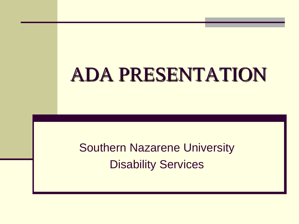# ADA PRESENTATION

Southern Nazarene University Disability Services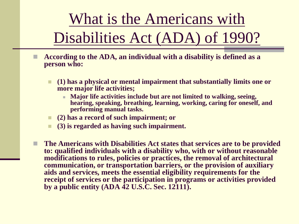What is the Americans with Disabilities Act (ADA) of 1990?

- **According to the ADA, an individual with a disability is defined as a person who:**
	- **(1) has a physical or mental impairment that substantially limits one or more major life activities;** 
		- **Major life activities include but are not limited to walking, seeing, hearing, speaking, breathing, learning, working, caring for oneself, and performing manual tasks.**
	- **(2) has a record of such impairment; or**
	- **(3) is regarded as having such impairment.**
	- **The Americans with Disabilities Act states that services are to be provided to: qualified individuals with a disability who, with or without reasonable modifications to rules, policies or practices, the removal of architectural communication, or transportation barriers, or the provision of auxiliary aids and services, meets the essential eligibility requirements for the receipt of services or the participation in programs or activities provided by a public entity (ADA 42 U.S.C. Sec. 12111).**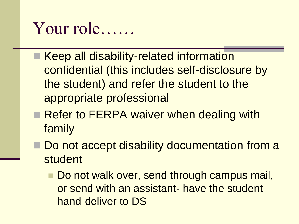### Your role……

- Keep all disability-related information confidential (this includes self-disclosure by the student) and refer the student to the appropriate professional
- Refer to FERPA waiver when dealing with family
- Do not accept disability documentation from a student
	- Do not walk over, send through campus mail, or send with an assistant- have the student hand-deliver to DS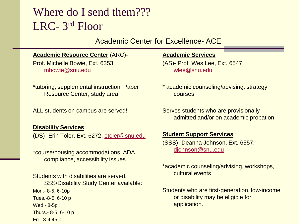### Where do I send them??? LRC- 3rd Floor

#### Academic Center for Excellence- ACE

#### **Academic Resource Center** (ARC)-

Prof. Michelle Bowie, Ext. 6353, [mbowie@snu.edu](mailto:mbowie@snu.edu)

\*tutoring, supplemental instruction, Paper Resource Center, study area

ALL students on campus are served!

#### **Disability Services**

(DS)- Erin Toler, Ext. 6272, [etoler@snu.edu](mailto:etoler@snu.edu)

\*course/housing accommodations, ADA compliance, accessibility issues

Students with disabilities are served. SSS/Disability Study Center available: Mon.- 8-5, 6-10p Tues.-8-5, 6-10 p Wed.- 8-5p Thurs.- 8-5, 6-10 p Fri.- 8-4:45 p

#### **Academic Services**

(AS)- Prof. Wes Lee, Ext. 6547, [wlee@snu.edu](mailto:wlee@snu.edu)

- \* academic counseling/advising, strategy courses
- Serves students who are provisionally admitted and/or on academic probation.

#### **Student Support Services**

(SSS)- Deanna Johnson, Ext. 6557, [djohnson@snu.edu](mailto:djohnson@snu.edu)

\*academic counseling/advising, workshops, cultural events

Students who are first-generation, low-income or disability may be eligible for application.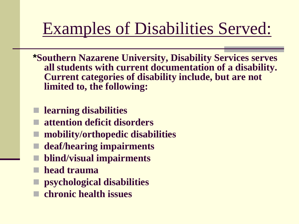## Examples of Disabilities Served:

- **\*Southern Nazarene University, Disability Services serves all students with current documentation of a disability. Current categories of disability include, but are not limited to, the following:**
- **learning disabilities**
- **attention deficit disorders**
- **mobility/orthopedic disabilities**
- **deaf/hearing impairments**
- **blind/visual impairments**
- **head trauma**
- **psychological disabilities**
- **chronic health issues**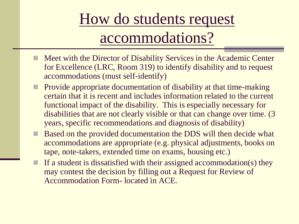### How do students request accommodations?

- Meet with the Director of Disability Services in the Academic Center for Excellence (LRC, Room 319) to identify disability and to request accommodations (must self-identify)
- Provide appropriate documentation of disability at that time-making certain that it is recent and includes information related to the current functional impact of the disability. This is especially necessary for disabilities that are not clearly visible or that can change over time. (3 years, specific recommendations and diagnosis of disability)
- Based on the provided documentation the DDS will then decide what accommodations are appropriate (e.g. physical adjustments, books on tape, note-takers, extended time on exams, housing etc.)
- If a student is dissatisfied with their assigned accommodation(s) they may contest the decision by filling out a Request for Review of Accommodation Form- located in ACE.